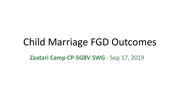# Child Marriage FGD Outcomes

**Zaatari Camp CP-SGBV SWG** - Sep 17, 2019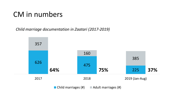### CM in numbers

*Child marriage documentation in Zaatari (2017-2019)*



Child marriages  $(H)$  Adult marriages  $(H)$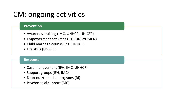### CM: ongoing activities

#### **Prevention**

- Awareness-raising (IMC, UNHCR, UNICEF)
- Empowerment activities (IFH, UN WOMEN)
- Child marriage counselling (UNHCR)
- Life skills (UNICEF)

#### **Response**

- Case management (IFH, IMC, UNHCR)
- Support groups (IFH, IMC)
- Drop-out/remedial programs (RI)
- Psychosocial support (MC)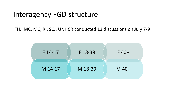### Interagency FGD structure

IFH, IMC, MC, RI, SCJ, UNHCR conducted 12 discussions on July 7-9

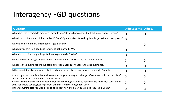# Interagency FGD questions

| <b>Question</b>                                                                                                                                                                        | <b>Adolescents Adults</b> |   |
|----------------------------------------------------------------------------------------------------------------------------------------------------------------------------------------|---------------------------|---|
| What does the term "child marriage" mean to you? Do you know about the legal framework in Jordan?                                                                                      | X                         | X |
| Why do you think some children under 18 from ZC get married? Why do girls or boys decide to marry early?                                                                               | X                         |   |
| Why do children under 18 from Zaatari get married?                                                                                                                                     |                           | Χ |
| What do you think is a good age for girls to get married? Why?                                                                                                                         | X                         |   |
| What do you think is a good age for boys to get married? Why?                                                                                                                          | X                         |   |
| What are the advantages of girls getting married under 18? What are the disadvantages?                                                                                                 | X                         | X |
| What are the advantages of boys getting married under 18? What are the disadvantages?                                                                                                  | Χ                         | X |
| Is there anything else you would like to add about why children marrying is common in Zaatari?                                                                                         | Χ                         | X |
| In your opinion, is the fact that children under 18 years marry a challenge? If so, what could be the role of<br>adolescents or the community to address this?                         | X                         | Χ |
| Are you aware of any Child Protection agencies providing activities to address child marriage? What other<br>activities would you suggest to prevent children from marrying under age? | X                         | Χ |
| Is there anything else you would like to add about how child marriage can be reduced in Zaatari?                                                                                       |                           | Χ |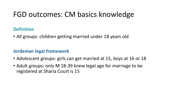### FGD outcomes: CM basics knowledge

### **Definition**

• All groups: children getting married under 18 years old

### **Jordanian legal framework**

- Adolescent groups: girls can get married at 15, boys at 16 or 18
- Adult groups: only M 18-39 knew legal age for marriage to be registered at Sharia Court is 15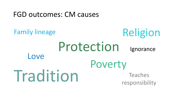### FGD outcomes: CM causes

Tradition Protection Poverty Religion Love Family lineage Teaches responsibility Ignorance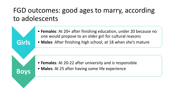### FGD outcomes: good ages to marry, according to adolescents

- **Females**: At 20+ after finishing education, under 20 because no one would propose to an older girl for cultural reasons
- **Males**: After finishing high school, at 18 when she's mature

- **Females**: At 20-22 after university and is responsible
- **Males**: At 25 after having some life experience

**Girls**

**Boys**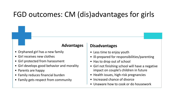# FGD outcomes: CM (dis)advantages for girls

### **Advantages**

- Orphaned girl has a new family
- Girl receives new clothes
- Girl protected from harassment
- Girl develops good behavior and morality
- Parents are happy
- Family reduces financial burden
- Family gets respect from community

#### **Disadvantages**

- Less time to enjoy youth
- Ill-prepared for responsibilities/parenting
- Has to drop out of school
- Girl not finishing school will have a negative impact on couple's children in future
- Health issues, high-risk pregnancies
- Increased chance of divorce
- Unaware how to cook or do housework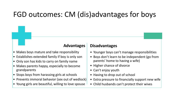# FGD outcomes: CM (dis)advantages for boys

### **Advantages**

- Makes boys mature and take responsibility
- Establishes extended family if boy is only son
- Only son has kids to carry on family name
- Makes parents happy, especially to become grandparents
- Stops boys from harassing girls at schools
- Prevents immoral behavior (sex out of wedlock)
- Young girls are beautiful, willing to love spouse

#### **Disadvantages**

- Younger boys can't manage responsibilities
- Boys don't learn to be independent (go from parents' home to having a wife)
- Higher chance of divorce
- Can't enjoy youth
- Having to drop out of school
- Extra pressure to financially support new wife
- Child husbands can't protect their wives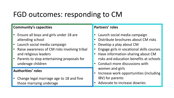# FGD outcomes: responding to CM

#### **Community's capacities**

- Ensure all boys and girls under 18 are attending school
- Launch social media campaign
- Raise awareness of CM risks involving tribal and religious leaders
- Parents to stop entertaining proposals for underage children

#### **Authorities' roles**

• Change legal marriage age to 18 and fine those marrying underage

#### **Partners' roles**

- Launch social media campaign
- Distribute brochures about CM risks
- Develop a play about CM
- Engage girls in vocational skills courses
- Have information-sharing about CM risks and education benefits at schools
- Conduct more discussions with women and girls
- Increase work opportunities (including IBV) for parents
- Advocate to increase dowries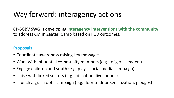# Way forward: interagency actions

CP-SGBV SWG is developing **interagency interventions with the community**  to address CM in Zaatari Camp based on FGD outcomes.

#### **Proposals**

- Coordinate awareness raising key messages
- Work with influential community members (e.g. religious leaders)
- Engage children and youth (e.g. plays, social media campaign)
- Liaise with linked sectors (e.g. education, livelihoods)
- Launch a grassroots campaign (e.g. door to door sensitization, pledges)